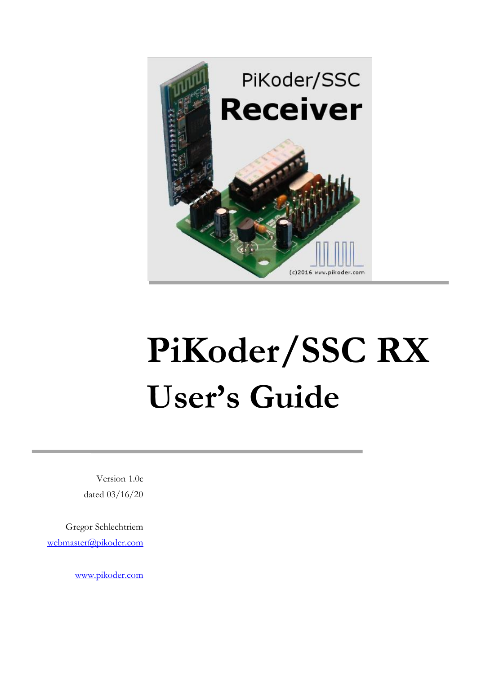

Version 1.0c dated 03/16/20

Gregor Schlechtriem [webmaster@pikoder.com](mailto:webmaster@pikoder.com)

[www.pikoder.com](http://www.pikoder.com/)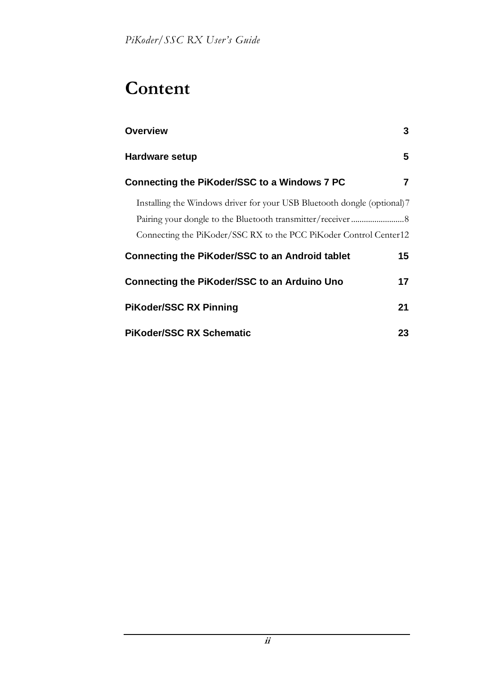## **Content**

| <b>Overview</b>                                                          | 3  |
|--------------------------------------------------------------------------|----|
| Hardware setup                                                           | 5  |
| Connecting the PiKoder/SSC to a Windows 7 PC                             |    |
| Installing the Windows driver for your USB Bluetooth dongle (optional) 7 |    |
|                                                                          |    |
| Connecting the PiKoder/SSC RX to the PCC PiKoder Control Center12        |    |
| Connecting the PiKoder/SSC to an Android tablet                          | 15 |
| Connecting the PiKoder/SSC to an Arduino Uno                             | 17 |
| <b>PiKoder/SSC RX Pinning</b>                                            | 21 |
| <b>PiKoder/SSC RX Schematic</b>                                          | 23 |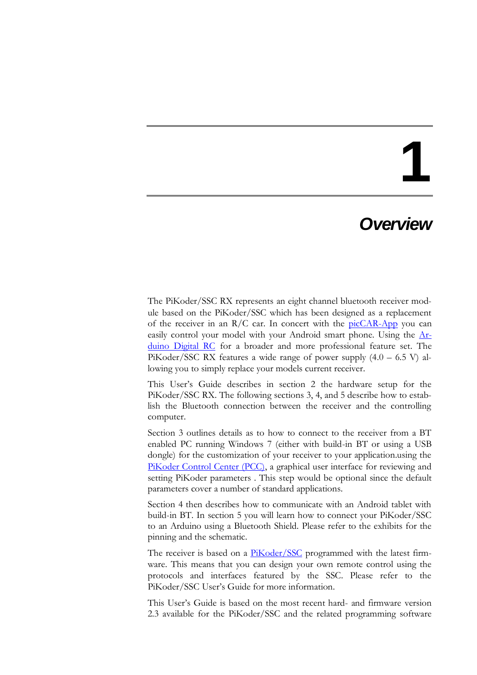### *Overview*

The PiKoder/SSC RX represents an eight channel bluetooth receiver module based on the PiKoder/SSC which has been designed as a replacement of the receiver in an  $R/C$  car. In concert with the  $picCAR$ -App you can easily control your model with your Android smart phone. Using the [Ar](http://www.pikoder.de/Arduino_Digital_RC_EN.html)[duino Digital RC](http://www.pikoder.de/Arduino_Digital_RC_EN.html) for a broader and more professional feature set. The PiKoder/SSC RX features a wide range of power supply  $(4.0 - 6.5 V)$  allowing you to simply replace your models current receiver.

This User's Guide describes in section 2 the hardware setup for the PiKoder/SSC RX. The following sections 3, 4, and 5 describe how to establish the Bluetooth connection between the receiver and the controlling computer.

Section 3 outlines details as to how to connect to the receiver from a BT enabled PC running Windows 7 (either with build-in BT or using a USB dongle) for the customization of your receiver to your application.using the [PiKoder Control Center \(PCC\),](http://www.pikoder.de/PiKoder_PCC_EN.html) a graphical user interface for reviewing and setting PiKoder parameters . This step would be optional since the default parameters cover a number of standard applications.

Section 4 then describes how to communicate with an Android tablet with build-in BT. In section 5 you will learn how to connect your PiKoder/SSC to an Arduino using a Bluetooth Shield. Please refer to the exhibits for the pinning and the schematic.

The receiver is based on a **PiKoder/SSC** programmed with the latest firmware. This means that you can design your own remote control using the protocols and interfaces featured by the SSC. Please refer to the PiKoder/SSC User's Guide for more information.

This User's Guide is based on the most recent hard- and firmware version 2.3 available for the PiKoder/SSC and the related programming software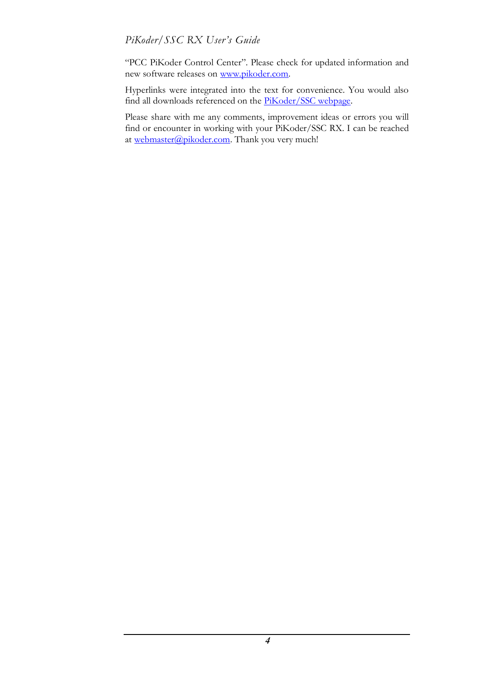"PCC PiKoder Control Center". Please check for updated information and new software releases on [www.pikoder.com.](http://www.pikoder.com/)

Hyperlinks were integrated into the text for convenience. You would also find all downloads referenced on the [PiKoder/SSC webpage.](http://www.pikoder.de/PiKoder_SSC_EN.htm)

Please share with me any comments, improvement ideas or errors you will find or encounter in working with your PiKoder/SSC RX. I can be reached at [webmaster@pikoder.com.](mailto:webmaster@pikoder.com) Thank you very much!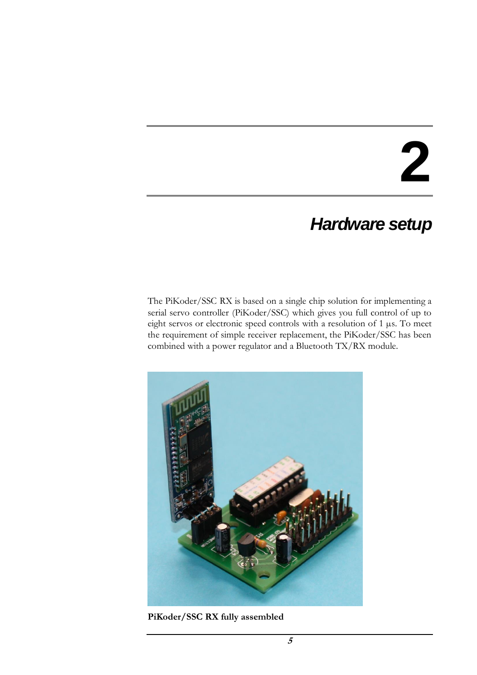### *Hardware setup*

The PiKoder/SSC RX is based on a single chip solution for implementing a serial servo controller (PiKoder/SSC) which gives you full control of up to eight servos or electronic speed controls with a resolution of 1 µs. To meet the requirement of simple receiver replacement, the PiKoder/SSC has been combined with a power regulator and a Bluetooth TX/RX module.



**PiKoder/SSC RX fully assembled**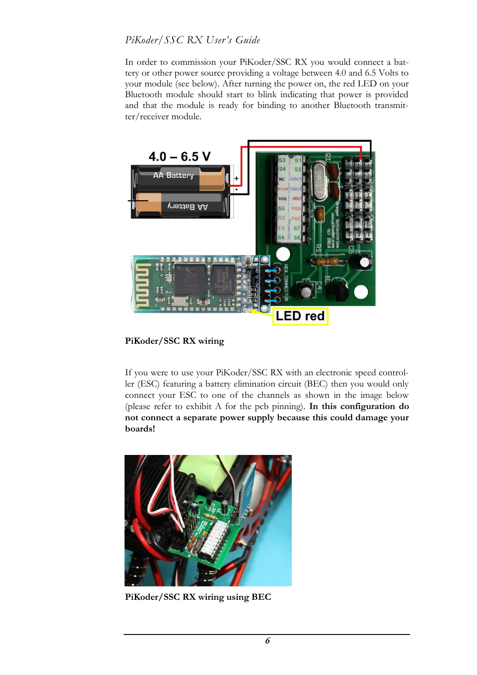In order to commission your PiKoder/SSC RX you would connect a battery or other power source providing a voltage between 4.0 and 6.5 Volts to your module (see below). After turning the power on, the red LED on your Bluetooth module should start to blink indicating that power is provided and that the module is ready for binding to another Bluetooth transmitter/receiver module.



**PiKoder/SSC RX wiring**

If you were to use your PiKoder/SSC RX with an electronic speed controller (ESC) featuring a battery elimination circuit (BEC) then you would only connect your ESC to one of the channels as shown in the image below (please refer to exhibit A for the pcb pinning). **In this configuration do not connect a separate power supply because this could damage your boards!**



**PiKoder/SSC RX wiring using BEC**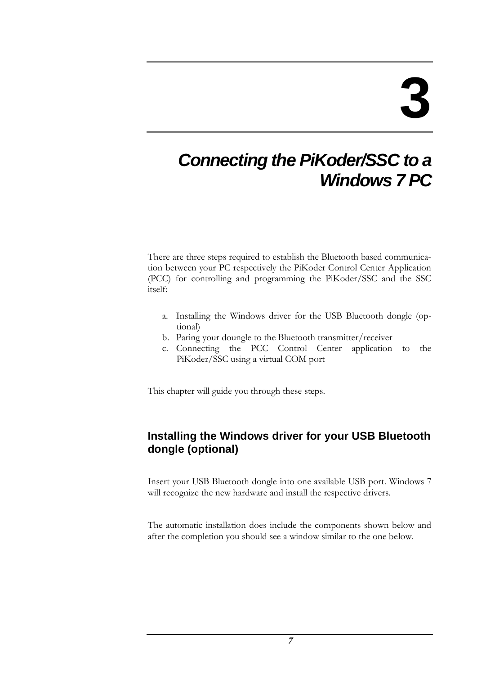### *Connecting the PiKoder/SSC to a Windows 7 PC*

There are three steps required to establish the Bluetooth based communication between your PC respectively the PiKoder Control Center Application (PCC) for controlling and programming the PiKoder/SSC and the SSC itself:

- a. Installing the Windows driver for the USB Bluetooth dongle (optional)
- b. Paring your doungle to the Bluetooth transmitter/receiver
- c. Connecting the PCC Control Center application to the PiKoder/SSC using a virtual COM port

This chapter will guide you through these steps.

#### **Installing the Windows driver for your USB Bluetooth dongle (optional)**

Insert your USB Bluetooth dongle into one available USB port. Windows 7 will recognize the new hardware and install the respective drivers.

The automatic installation does include the components shown below and after the completion you should see a window similar to the one below.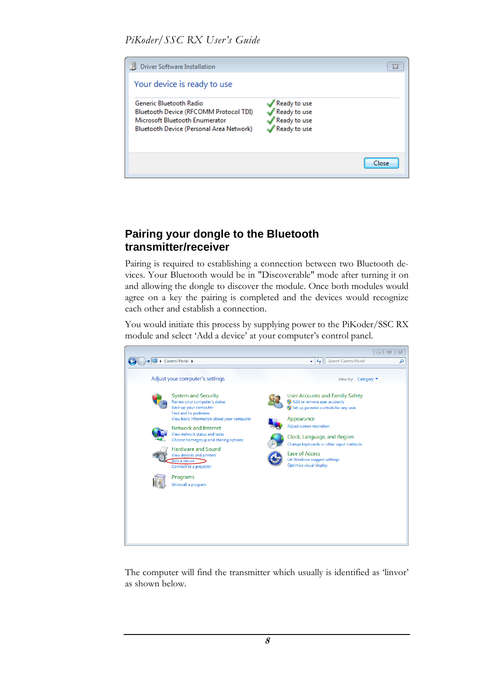

#### **Pairing your dongle to the Bluetooth transmitter/receiver**

Pairing is required to establishing a connection between two Bluetooth devices. Your Bluetooth would be in "Discoverable" mode after turning it on and allowing the dongle to discover the module. Once both modules would agree on a key the pairing is completed and the devices would recognize each other and establish a connection.

You would initiate this process by supplying power to the PiKoder/SSC RX module and select 'Add a device' at your computer's control panel.



The computer will find the transmitter which usually is identified as 'linvor' as shown below.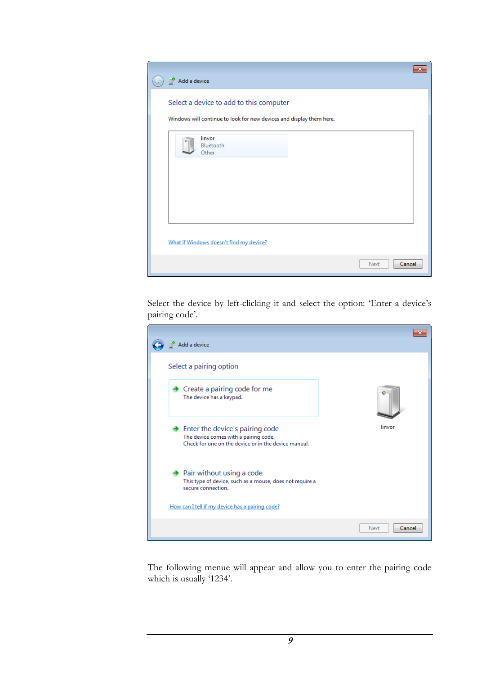| Add a device                                                                   | ж |
|--------------------------------------------------------------------------------|---|
| Select a device to add to this computer                                        |   |
| Windows will continue to look for new devices and display them here.<br>linvor |   |
| Bluetooth<br>Other                                                             |   |
|                                                                                |   |
|                                                                                |   |
| What if Windows doesn't find my device?                                        |   |
| Cancel<br>Next                                                                 |   |

Select the device by left-clicking it and select the option: 'Enter a device's pairing code'.

| Add a device                                                                                                                                   |                |
|------------------------------------------------------------------------------------------------------------------------------------------------|----------------|
| Select a pairing option                                                                                                                        |                |
| $\rightarrow$ Create a pairing code for me<br>The device has a keypad.                                                                         |                |
| $\rightarrow$ Enter the device's pairing code<br>The device comes with a pairing code.<br>Check for one on the device or in the device manual. | linvor         |
| $\rightarrow$ Pair without using a code<br>This type of device, such as a mouse, does not require a<br>secure connection.                      |                |
| How can I tell if my device has a pairing code?                                                                                                |                |
|                                                                                                                                                | Cancel<br>Next |

The following menue will appear and allow you to enter the pairing code which is usually '1234'.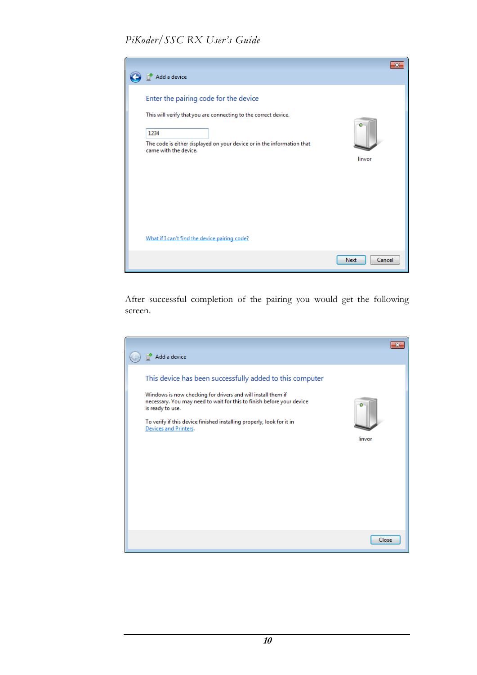

After successful completion of the pairing you would get the following screen.

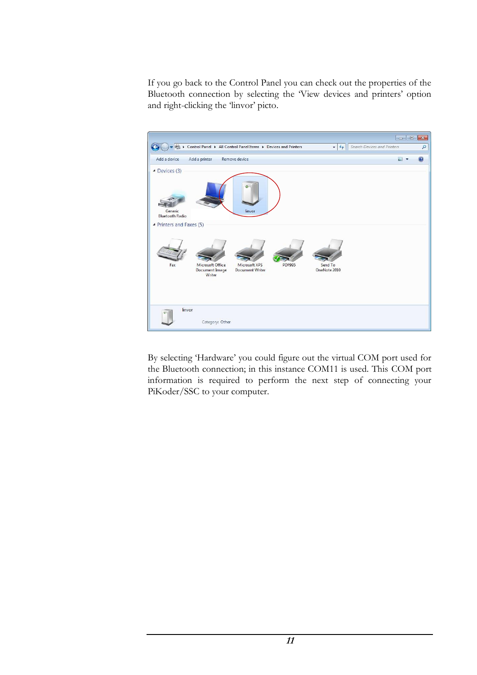If you go back to the Control Panel you can check out the properties of the Bluetooth connection by selecting the 'View devices and printers' option and right-clicking the 'linvor' picto.



By selecting 'Hardware' you could figure out the virtual COM port used for the Bluetooth connection; in this instance COM11 is used. This COM port information is required to perform the next step of connecting your PiKoder/SSC to your computer.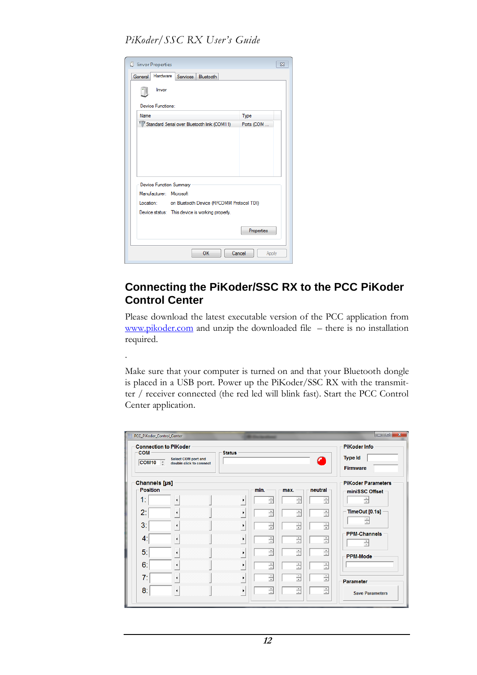| U linvor Properties                                 | $\Sigma$   |
|-----------------------------------------------------|------------|
| Hardware<br>General<br>Services<br>Bluetooth        |            |
| linvor                                              |            |
| Device Functions:                                   |            |
| <b>Name</b>                                         | Type       |
| Standard Serial over Bluetooth link (COM11)         | Ports (COM |
|                                                     |            |
| <b>Device Function Summary</b>                      |            |
| Manufacturer: Microsoft                             |            |
| Location: on Bluetooth Device (RFCOMM Protocol TDI) |            |
| Device status: This device is working properly.     |            |
|                                                     | Properties |

.

#### **Connecting the PiKoder/SSC RX to the PCC PiKoder Control Center**

Please download the latest executable version of the PCC application from [www.pikoder.com](http://www.pikoder.com/) and unzip the downloaded file – there is no installation required.

Make sure that your computer is turned on and that your Bluetooth dongle is placed in a USB port. Power up the PiKoder/SSC RX with the transmitter / receiver connected (the red led will blink fast). Start the PCC Control Center application.

| $\overline{\mathbf{x}}$<br>o o<br>PCC PiKoder Control Center<br><b>Connection to PiKoder</b><br><b>PiKoder Info</b><br><b>COM</b><br><b>Status</b><br><b>Type Id</b><br>Select COM port and<br>a<br>$COM10 \quad \hat{ }$<br>double click to connect<br><b>Firmware</b> |  |  |                       |           |           |                |                           |  |
|-------------------------------------------------------------------------------------------------------------------------------------------------------------------------------------------------------------------------------------------------------------------------|--|--|-----------------------|-----------|-----------|----------------|---------------------------|--|
| <b>Channels</b> [µs]                                                                                                                                                                                                                                                    |  |  |                       |           |           |                | <b>PiKoder Parameters</b> |  |
| Position<br>1:                                                                                                                                                                                                                                                          |  |  | ٠                     | min.<br>Ė | max.<br>Ė | neutral -<br>Ė | miniSSC Offset<br>÷       |  |
| 2:                                                                                                                                                                                                                                                                      |  |  | ٠                     | ÷         | ÷         | ÷              | TimeOut [0.1s]            |  |
| 3 <sup>2</sup>                                                                                                                                                                                                                                                          |  |  | ٠                     | $\div$    | ÷         | $\div$         |                           |  |
| 4:                                                                                                                                                                                                                                                                      |  |  | ٠                     | E         | $\div$    | Ė              | <b>PPM-Channels</b><br>÷  |  |
| 5 <sub>1</sub>                                                                                                                                                                                                                                                          |  |  | $\blacktriangleright$ | $\div$    | ÷         | ÷              | <b>PPM-Mode</b>           |  |
| 6:                                                                                                                                                                                                                                                                      |  |  | ٠                     | ÷         | Ė         | 쉬              |                           |  |
| 7:                                                                                                                                                                                                                                                                      |  |  | ٠                     | ÷         | $\div$    | Ė              | <b>Parameter</b>          |  |
| 8 <sup>2</sup>                                                                                                                                                                                                                                                          |  |  | ٠                     | ÷         | ÷         | ÷              | <b>Save Parameters</b>    |  |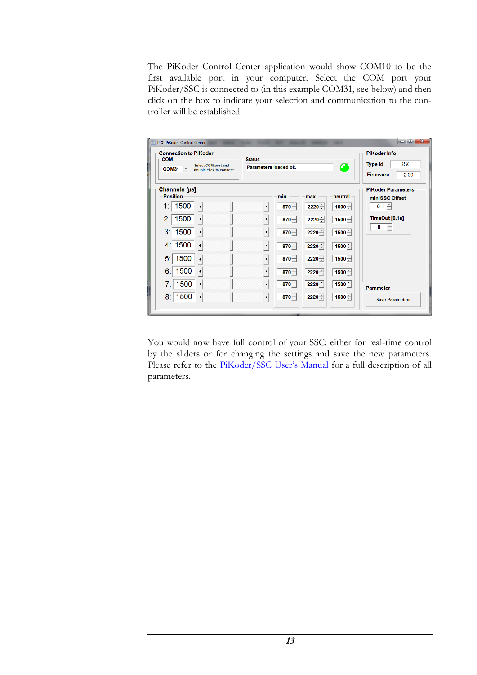The PiKoder Control Center application would show COM10 to be the first available port in your computer. Select the COM port your PiKoder/SSC is connected to (in this example COM31, see below) and then click on the box to indicate your selection and communication to the controller will be established.

| PCC PiKoder Control Center<br><b>Connection to PiKoder</b><br><b>COM</b><br><b>Status</b><br><b>Select COM port and</b><br>C<br>Parameters loaded ok.<br><b>COM31</b><br>÷<br>double click to connect                                                                                                                                                                                                                                                                                                                                                                                         | <b>PiKoder Info</b><br><b>SSC</b><br><b>Type Id</b><br><b>Firmware</b><br>2.00                                                  |
|-----------------------------------------------------------------------------------------------------------------------------------------------------------------------------------------------------------------------------------------------------------------------------------------------------------------------------------------------------------------------------------------------------------------------------------------------------------------------------------------------------------------------------------------------------------------------------------------------|---------------------------------------------------------------------------------------------------------------------------------|
| Channels [µs]<br><b>Position</b><br>min.<br>neutral<br>max.<br>1500<br>1:<br>$870 -$<br>$2220 -$<br>$1500 -$<br>٠<br>1500<br>2:<br>$870 -$<br>$2220 -$<br>$1500 -$<br>٠<br>3:1<br>1500<br>$1500 -$<br>$870 -$<br>$2220 -$<br>$\blacktriangleright$<br>1500<br>4:1<br>$870 -$<br>$2220 -$<br>$1500 -$<br>$\blacktriangleright$<br>1500<br>5:<br>$2220 -$<br>$870 -$<br>$1500 -$<br>٠<br>1500<br>6:<br>$870 -$<br>$2220 -$<br>$1500 -$<br>٠<br>7:<br>1500<br>$870 -$<br>$2220 -$<br>$1500 -$<br>$\blacktriangleright$<br>1500<br>8:<br>$870 -$<br>$2220 -$<br>$1500 -$<br>$\blacktriangleright$ | <b>PiKoder Parameters</b><br>miniSSC Offset<br>÷<br>0<br>TimeOut [0.1s]<br>÷<br>0<br><b>Parameter</b><br><b>Save Parameters</b> |

You would now have full control of your SSC: either for real-time control by the sliders or for changing the settings and save the new parameters. Please refer to the [PiKoder/SSC User's Manual](http://www.pikoder.de/PiKoder_SSC_EN.htm) for a full description of all parameters.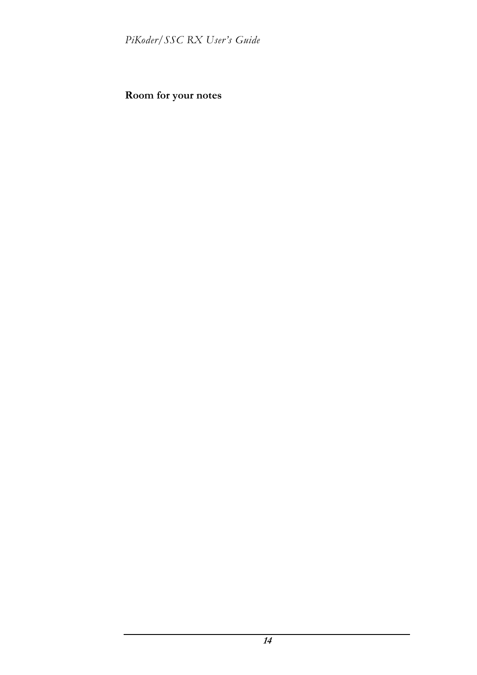**Room for your notes**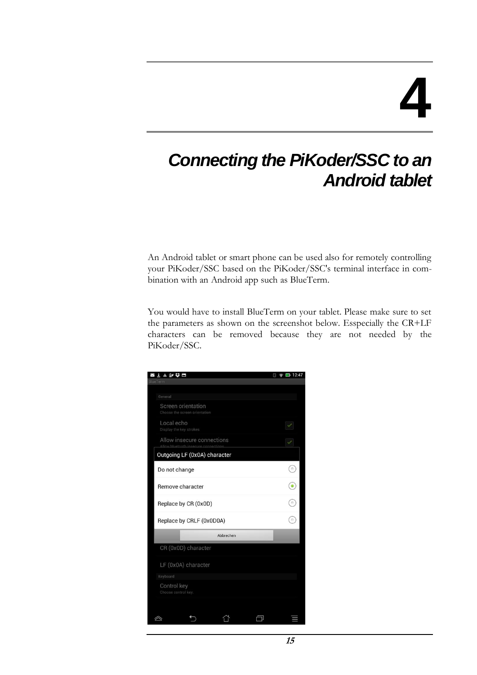### *Connecting the PiKoder/SSC to an Android tablet*

An Android tablet or smart phone can be used also for remotely controlling your PiKoder/SSC based on the PiKoder/SSC's terminal interface in combination with an Android app such as BlueTerm.

You would have to install BlueTerm on your tablet. Please make sure to set the parameters as shown on the screenshot below. Esspecially the CR+LF characters can be removed because they are not needed by the PiKoder/SSC.

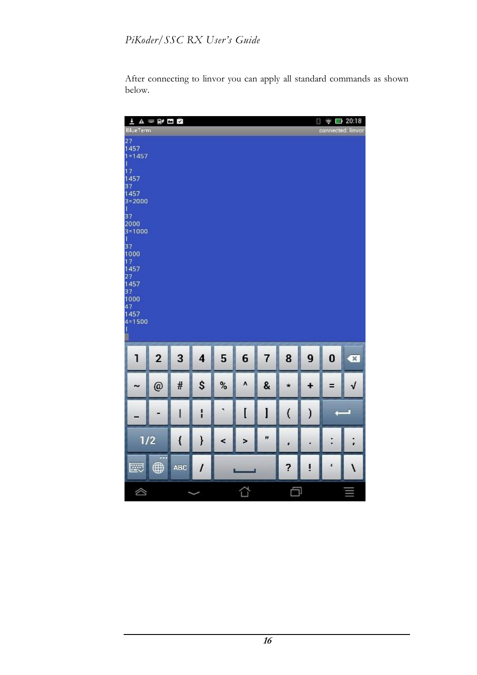After connecting to linvor you can apply all standard commands as shown below.

| 上下の時間<br>$\widehat{\mathcal{P}}$ $\Box$ 20:18<br>8                                                                                                                                          |                |      |                     |      |   |                |                          |               |          |                         |
|---------------------------------------------------------------------------------------------------------------------------------------------------------------------------------------------|----------------|------|---------------------|------|---|----------------|--------------------------|---------------|----------|-------------------------|
| <b>BlueTerm</b><br>27<br>1457<br>$1 = 1457$<br>Π<br>12<br>1457<br>37<br>1457<br>$3 = 2000$<br>$\mathbf{1}$<br>3?<br>2000<br>$3 = 1000$<br>T<br>37<br>1000<br>12<br>1457<br>22<br>1457<br>37 |                |      |                     |      |   |                |                          |               |          | connected: linvor       |
| 1000<br>42<br>1457<br>$4 = 1500$<br>T<br>۹                                                                                                                                                  |                |      |                     |      |   |                |                          |               |          |                         |
| 1                                                                                                                                                                                           | $\overline{2}$ | 3    | $\overline{\bf{4}}$ | 5    | 6 | $\overline{7}$ | 8                        | 9             | $\bf{0}$ | $\overline{\mathbf{x}}$ |
| w                                                                                                                                                                                           | @              | #    | \$                  | $\%$ | ٨ | 8              | *                        | ۰             | Ξ        | √                       |
|                                                                                                                                                                                             |                | I    | I                   | ۷    | I | l              | $\overline{\mathcal{L}}$ | $\mathcal{C}$ | ŋ        |                         |
| 1/2                                                                                                                                                                                         |                | $\{$ | ł                   | <    | × | Ħ              | ۳                        |               | ٠        | è                       |
| 國                                                                                                                                                                                           | ⊕              | ABC  | $\prime$            |      |   |                | ?                        | ţ             | ï        | ١                       |
| ◬                                                                                                                                                                                           |                |      |                     |      | 습 |                | Ċ                        |               |          |                         |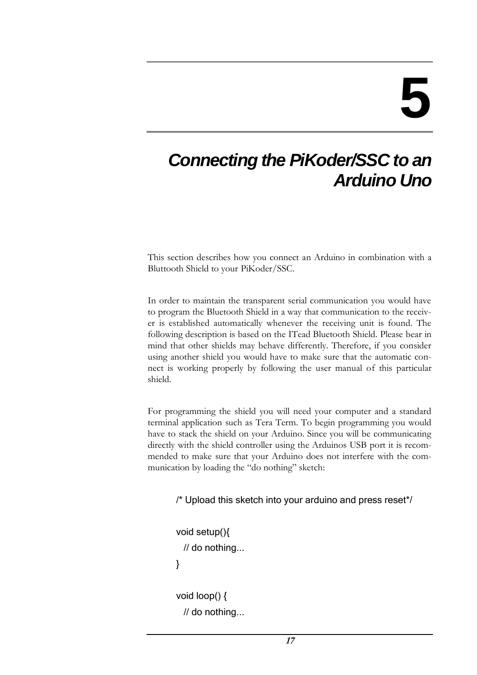### *Connecting the PiKoder/SSC to an Arduino Uno*

This section describes how you connect an Arduino in combination with a Bluttooth Shield to your PiKoder/SSC.

In order to maintain the transparent serial communication you would have to program the Bluetooth Shield in a way that communication to the receiver is established automatically whenever the receiving unit is found. The following description is based on the ITead Bluetooth Shield. Please bear in mind that other shields may behave differently. Therefore, if you consider using another shield you would have to make sure that the automatic connect is working properly by following the user manual of this particular shield.

For programming the shield you will need your computer and a standard terminal application such as Tera Term. To begin programming you would have to stack the shield on your Arduino. Since you will be communicating directly with the shield controller using the Arduinos USB port it is recommended to make sure that your Arduino does not interfere with the communication by loading the "do nothing" sketch:

/\* Upload this sketch into your arduino and press reset\*/

void setup(){ // do nothing... } void loop() {

// do nothing...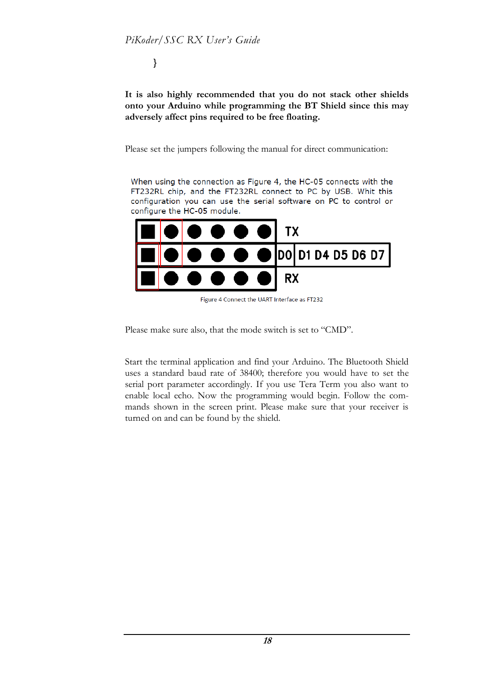}

**It is also highly recommended that you do not stack other shields onto your Arduino while programming the BT Shield since this may adversely affect pins required to be free floating.**

Please set the jumpers following the manual for direct communication:

When using the connection as Figure 4, the HC-05 connects with the FT232RL chip, and the FT232RL connect to PC by USB. Whit this configuration you can use the serial software on PC to control or configure the HC-05 module.



Figure 4 Connect the UART Interface as FT232

Please make sure also, that the mode switch is set to "CMD".

Start the terminal application and find your Arduino. The Bluetooth Shield uses a standard baud rate of 38400; therefore you would have to set the serial port parameter accordingly. If you use Tera Term you also want to enable local echo. Now the programming would begin. Follow the commands shown in the screen print. Please make sure that your receiver is turned on and can be found by the shield.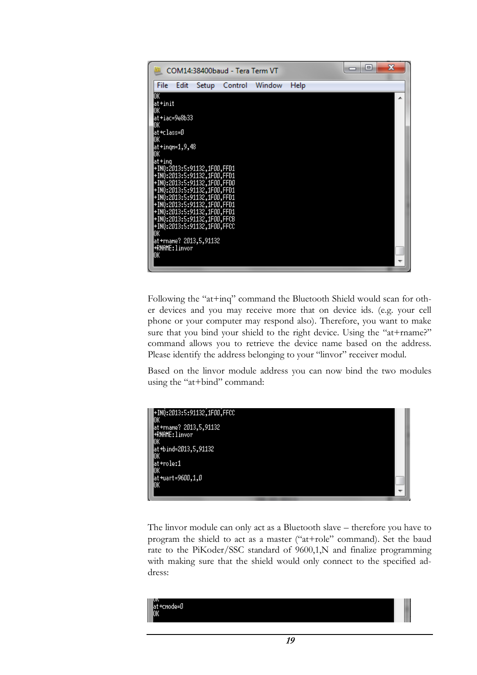

Following the "at+inq" command the Bluetooth Shield would scan for other devices and you may receive more that on device ids. (e.g. your cell phone or your computer may respond also). Therefore, you want to make sure that you bind your shield to the right device. Using the "at+rname?" command allows you to retrieve the device name based on the address. Please identify the address belonging to your "linvor" receiver modul.

Based on the linvor module address you can now bind the two modules using the "at+bind" command:



The linvor module can only act as a Bluetooth slave – therefore you have to program the shield to act as a master ("at+role" command). Set the baud rate to the PiKoder/SSC standard of 9600,1,N and finalize programming with making sure that the shield would only connect to the specified address:

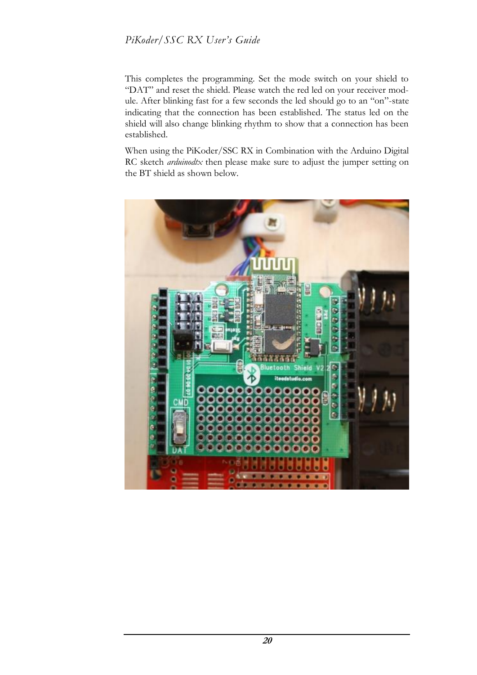This completes the programming. Set the mode switch on your shield to "DAT" and reset the shield. Please watch the red led on your receiver module. After blinking fast for a few seconds the led should go to an "on"-state indicating that the connection has been established. The status led on the shield will also change blinking rhythm to show that a connection has been established.

When using the PiKoder/SSC RX in Combination with the Arduino Digital RC sketch *arduinodtx* then please make sure to adjust the jumper setting on the BT shield as shown below.

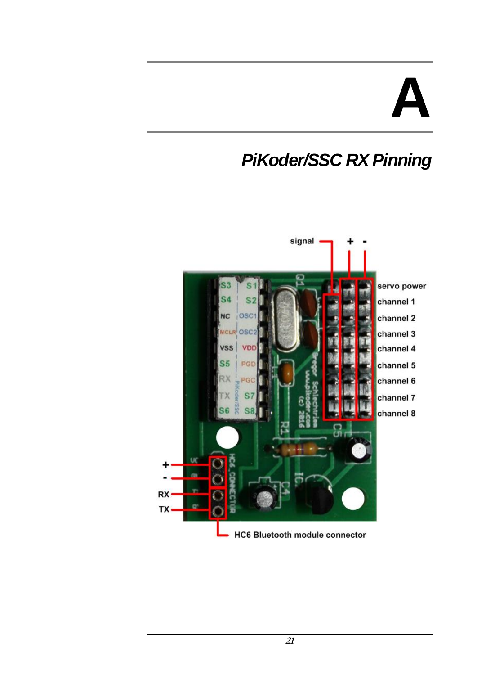## **A**

## *PiKoder/SSC RX Pinning*

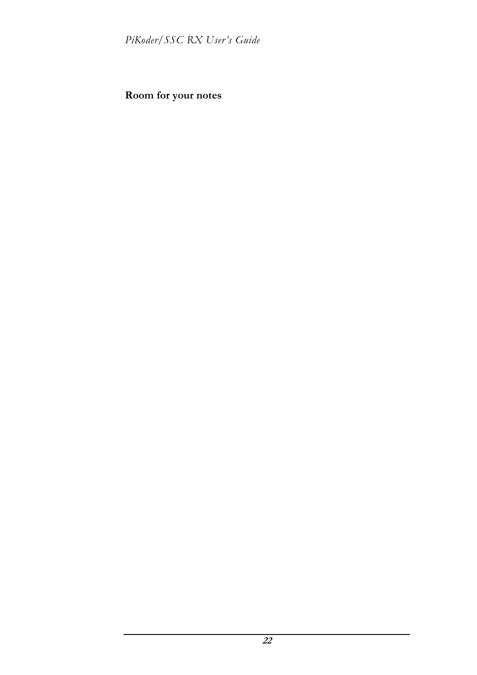**Room for your notes**